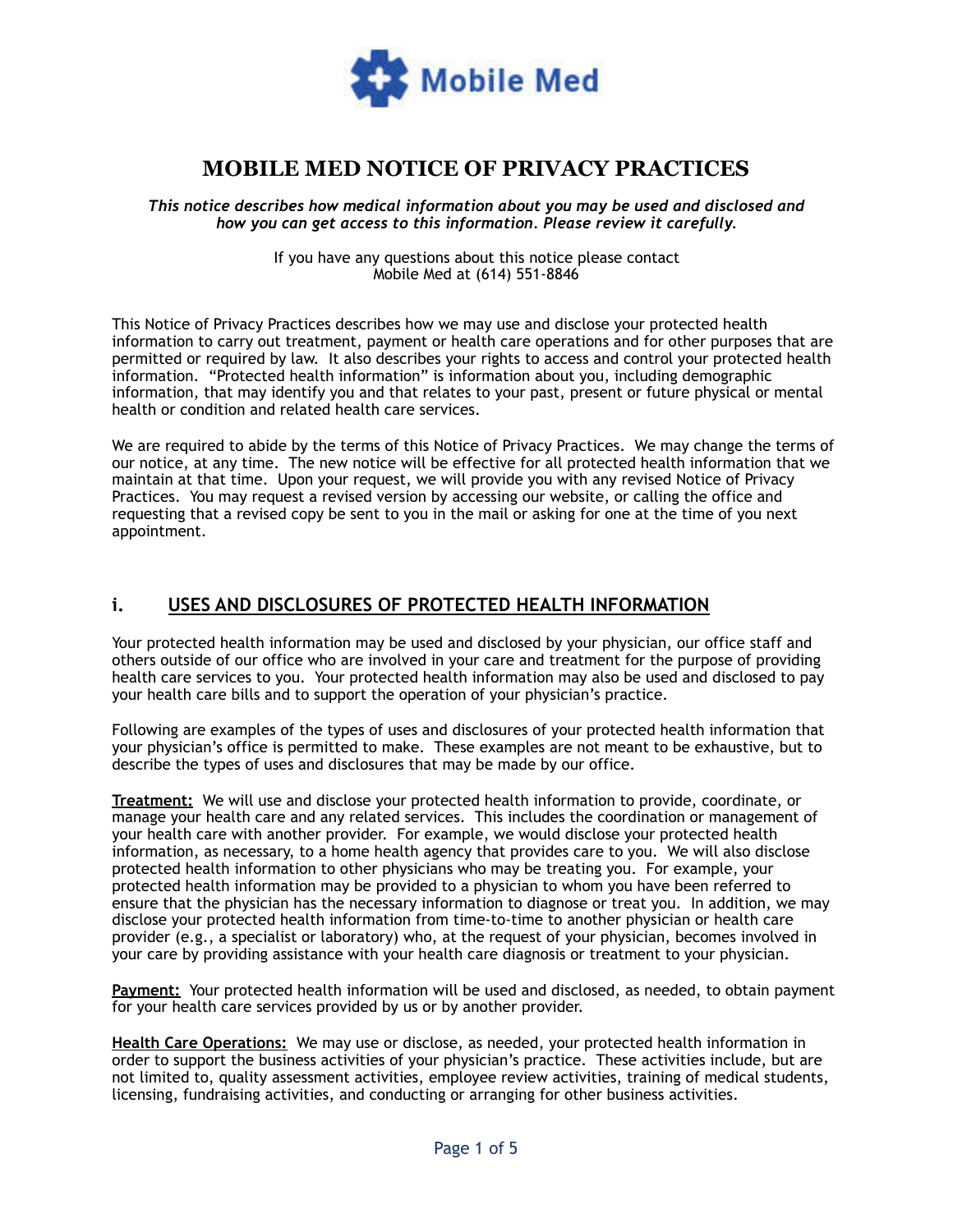

# **MOBILE MED NOTICE OF PRIVACY PRACTICES**

*This notice describes how medical information about you may be used and disclosed and how you can get access to this information. Please review it carefully.* 

> If you have any questions about this notice please contact Mobile Med at (614) 551-8846

This Notice of Privacy Practices describes how we may use and disclose your protected health information to carry out treatment, payment or health care operations and for other purposes that are permitted or required by law. It also describes your rights to access and control your protected health information. "Protected health information" is information about you, including demographic information, that may identify you and that relates to your past, present or future physical or mental health or condition and related health care services.

We are required to abide by the terms of this Notice of Privacy Practices. We may change the terms of our notice, at any time. The new notice will be effective for all protected health information that we maintain at that time. Upon your request, we will provide you with any revised Notice of Privacy Practices. You may request a revised version by accessing our website, or calling the office and requesting that a revised copy be sent to you in the mail or asking for one at the time of you next appointment.

### **i. USES AND DISCLOSURES OF PROTECTED HEALTH INFORMATION**

Your protected health information may be used and disclosed by your physician, our office staff and others outside of our office who are involved in your care and treatment for the purpose of providing health care services to you. Your protected health information may also be used and disclosed to pay your health care bills and to support the operation of your physician's practice.

Following are examples of the types of uses and disclosures of your protected health information that your physician's office is permitted to make. These examples are not meant to be exhaustive, but to describe the types of uses and disclosures that may be made by our office.

**Treatment:** We will use and disclose your protected health information to provide, coordinate, or manage your health care and any related services. This includes the coordination or management of your health care with another provider. For example, we would disclose your protected health information, as necessary, to a home health agency that provides care to you. We will also disclose protected health information to other physicians who may be treating you. For example, your protected health information may be provided to a physician to whom you have been referred to ensure that the physician has the necessary information to diagnose or treat you. In addition, we may disclose your protected health information from time-to-time to another physician or health care provider (e.g., a specialist or laboratory) who, at the request of your physician, becomes involved in your care by providing assistance with your health care diagnosis or treatment to your physician.

**Payment:** Your protected health information will be used and disclosed, as needed, to obtain payment for your health care services provided by us or by another provider.

**Health Care Operations:** We may use or disclose, as needed, your protected health information in order to support the business activities of your physician's practice. These activities include, but are not limited to, quality assessment activities, employee review activities, training of medical students, licensing, fundraising activities, and conducting or arranging for other business activities.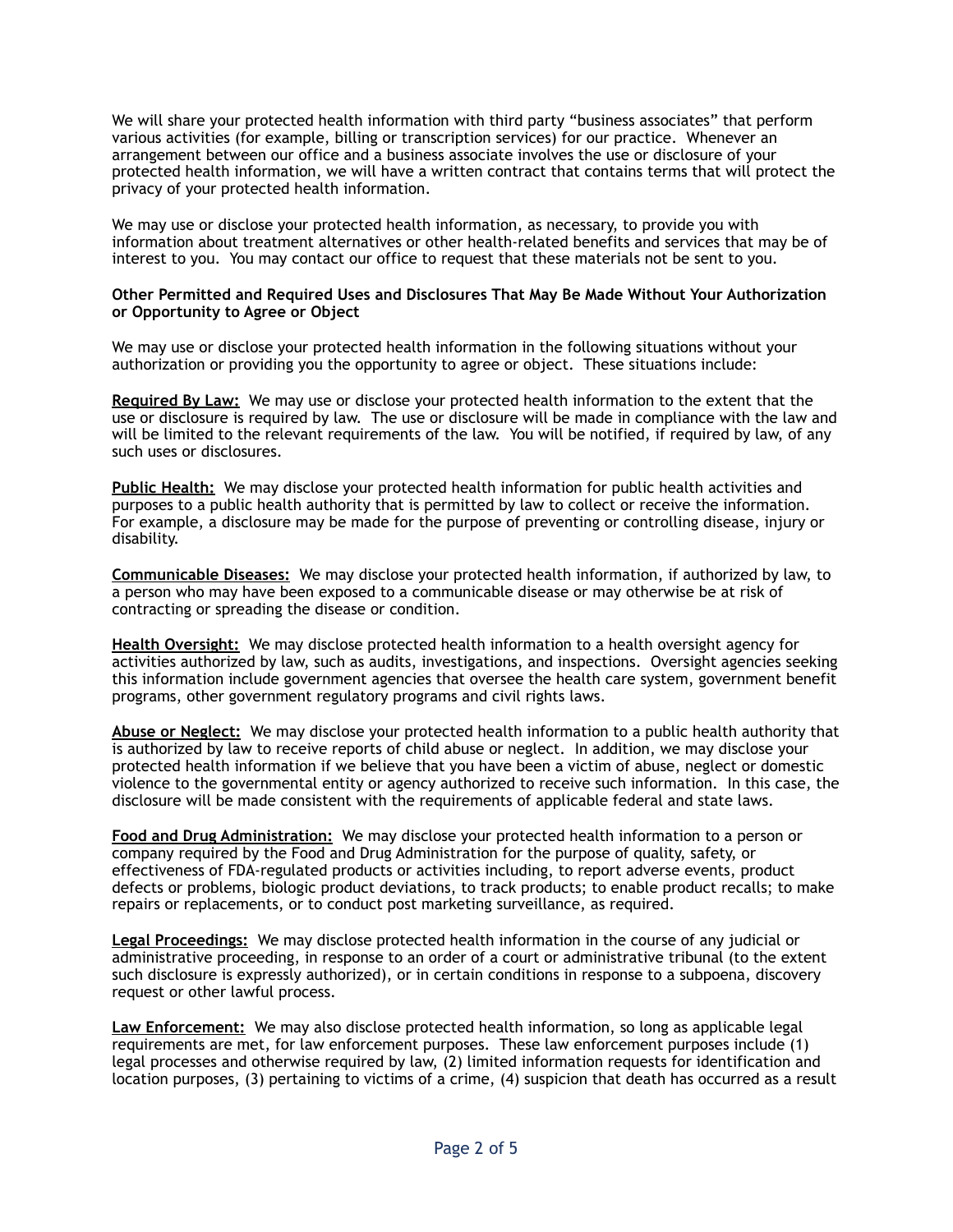We will share your protected health information with third party "business associates" that perform various activities (for example, billing or transcription services) for our practice. Whenever an arrangement between our office and a business associate involves the use or disclosure of your protected health information, we will have a written contract that contains terms that will protect the privacy of your protected health information.

We may use or disclose your protected health information, as necessary, to provide you with information about treatment alternatives or other health-related benefits and services that may be of interest to you. You may contact our office to request that these materials not be sent to you.

#### **Other Permitted and Required Uses and Disclosures That May Be Made Without Your Authorization or Opportunity to Agree or Object**

We may use or disclose your protected health information in the following situations without your authorization or providing you the opportunity to agree or object. These situations include:

**Required By Law:** We may use or disclose your protected health information to the extent that the use or disclosure is required by law. The use or disclosure will be made in compliance with the law and will be limited to the relevant requirements of the law. You will be notified, if required by law, of any such uses or disclosures.

**Public Health:** We may disclose your protected health information for public health activities and purposes to a public health authority that is permitted by law to collect or receive the information. For example, a disclosure may be made for the purpose of preventing or controlling disease, injury or disability.

**Communicable Diseases:** We may disclose your protected health information, if authorized by law, to a person who may have been exposed to a communicable disease or may otherwise be at risk of contracting or spreading the disease or condition.

**Health Oversight:** We may disclose protected health information to a health oversight agency for activities authorized by law, such as audits, investigations, and inspections. Oversight agencies seeking this information include government agencies that oversee the health care system, government benefit programs, other government regulatory programs and civil rights laws.

**Abuse or Neglect:** We may disclose your protected health information to a public health authority that is authorized by law to receive reports of child abuse or neglect. In addition, we may disclose your protected health information if we believe that you have been a victim of abuse, neglect or domestic violence to the governmental entity or agency authorized to receive such information. In this case, the disclosure will be made consistent with the requirements of applicable federal and state laws.

**Food and Drug Administration:** We may disclose your protected health information to a person or company required by the Food and Drug Administration for the purpose of quality, safety, or effectiveness of FDA-regulated products or activities including, to report adverse events, product defects or problems, biologic product deviations, to track products; to enable product recalls; to make repairs or replacements, or to conduct post marketing surveillance, as required.

**Legal Proceedings:** We may disclose protected health information in the course of any judicial or administrative proceeding, in response to an order of a court or administrative tribunal (to the extent such disclosure is expressly authorized), or in certain conditions in response to a subpoena, discovery request or other lawful process.

**Law Enforcement:** We may also disclose protected health information, so long as applicable legal requirements are met, for law enforcement purposes. These law enforcement purposes include (1) legal processes and otherwise required by law, (2) limited information requests for identification and location purposes, (3) pertaining to victims of a crime, (4) suspicion that death has occurred as a result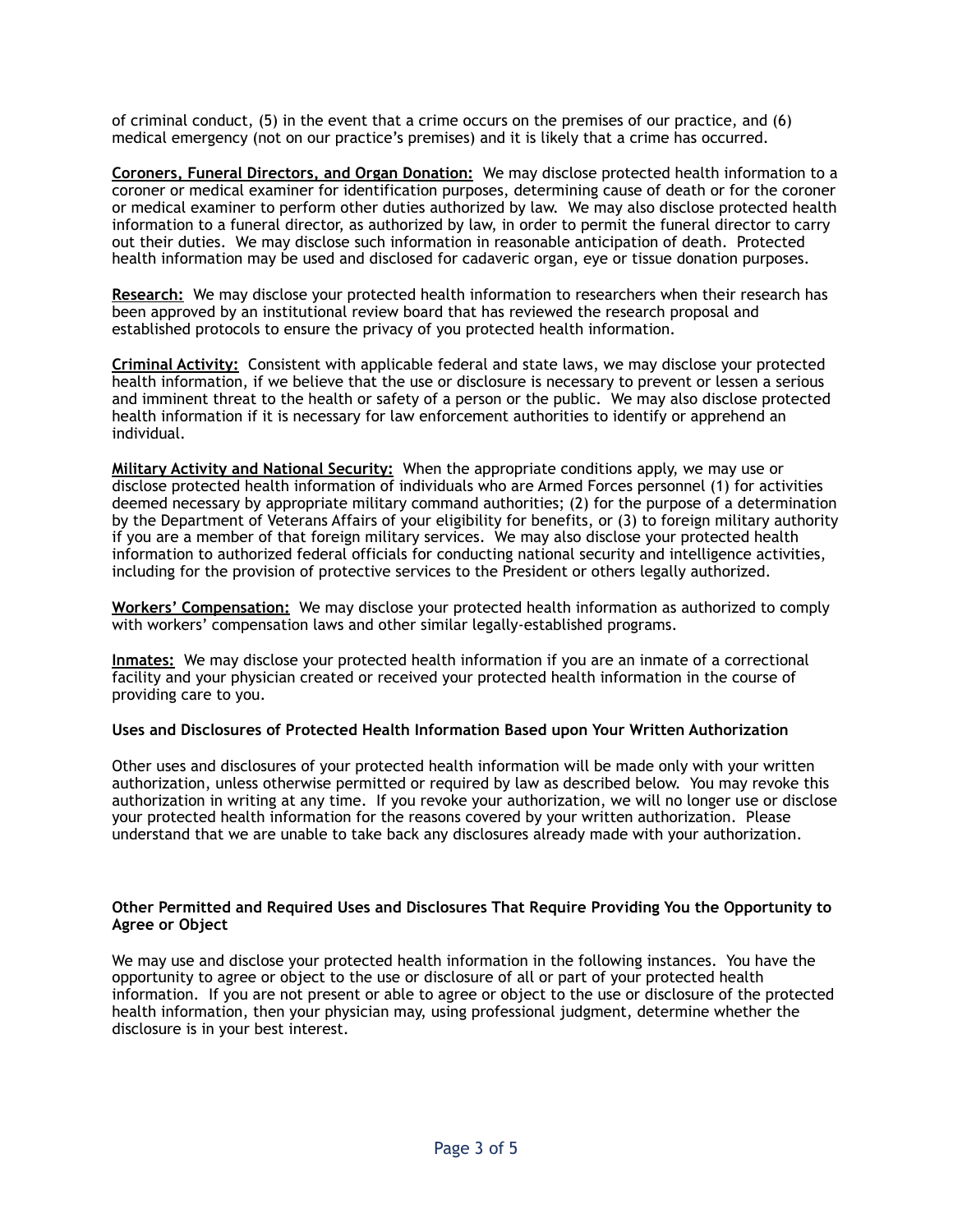of criminal conduct, (5) in the event that a crime occurs on the premises of our practice, and (6) medical emergency (not on our practice's premises) and it is likely that a crime has occurred.

**Coroners, Funeral Directors, and Organ Donation:** We may disclose protected health information to a coroner or medical examiner for identification purposes, determining cause of death or for the coroner or medical examiner to perform other duties authorized by law. We may also disclose protected health information to a funeral director, as authorized by law, in order to permit the funeral director to carry out their duties. We may disclose such information in reasonable anticipation of death. Protected health information may be used and disclosed for cadaveric organ, eye or tissue donation purposes.

**Research:** We may disclose your protected health information to researchers when their research has been approved by an institutional review board that has reviewed the research proposal and established protocols to ensure the privacy of you protected health information.

**Criminal Activity:** Consistent with applicable federal and state laws, we may disclose your protected health information, if we believe that the use or disclosure is necessary to prevent or lessen a serious and imminent threat to the health or safety of a person or the public. We may also disclose protected health information if it is necessary for law enforcement authorities to identify or apprehend an individual.

**Military Activity and National Security:** When the appropriate conditions apply, we may use or disclose protected health information of individuals who are Armed Forces personnel (1) for activities deemed necessary by appropriate military command authorities; (2) for the purpose of a determination by the Department of Veterans Affairs of your eligibility for benefits, or (3) to foreign military authority if you are a member of that foreign military services. We may also disclose your protected health information to authorized federal officials for conducting national security and intelligence activities, including for the provision of protective services to the President or others legally authorized.

**Workers' Compensation:** We may disclose your protected health information as authorized to comply with workers' compensation laws and other similar legally-established programs.

**Inmates:** We may disclose your protected health information if you are an inmate of a correctional facility and your physician created or received your protected health information in the course of providing care to you.

### **Uses and Disclosures of Protected Health Information Based upon Your Written Authorization**

Other uses and disclosures of your protected health information will be made only with your written authorization, unless otherwise permitted or required by law as described below. You may revoke this authorization in writing at any time. If you revoke your authorization, we will no longer use or disclose your protected health information for the reasons covered by your written authorization. Please understand that we are unable to take back any disclosures already made with your authorization.

#### **Other Permitted and Required Uses and Disclosures That Require Providing You the Opportunity to Agree or Object**

We may use and disclose your protected health information in the following instances. You have the opportunity to agree or object to the use or disclosure of all or part of your protected health information. If you are not present or able to agree or object to the use or disclosure of the protected health information, then your physician may, using professional judgment, determine whether the disclosure is in your best interest.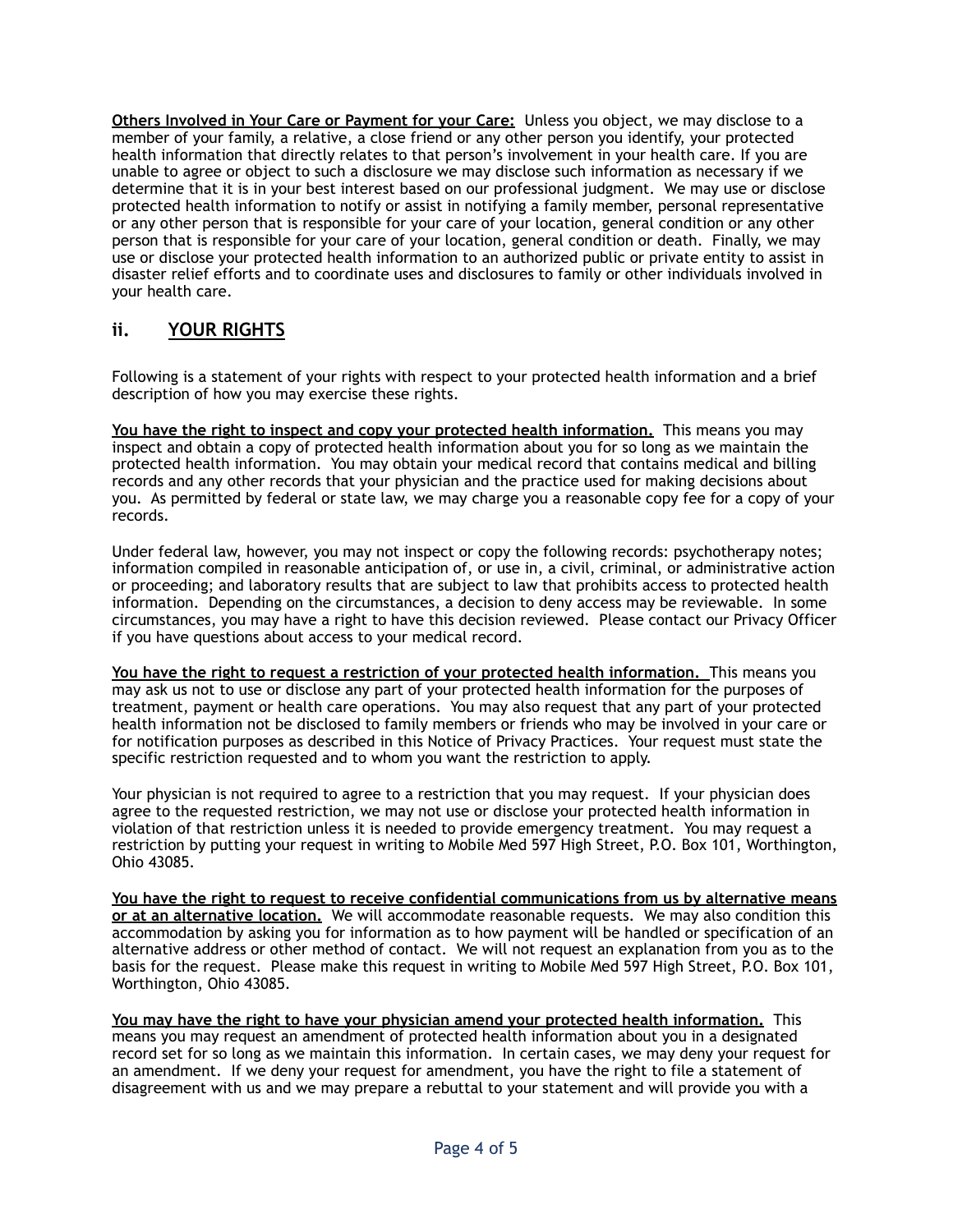**Others Involved in Your Care or Payment for your Care:** Unless you object, we may disclose to a member of your family, a relative, a close friend or any other person you identify, your protected health information that directly relates to that person's involvement in your health care. If you are unable to agree or object to such a disclosure we may disclose such information as necessary if we determine that it is in your best interest based on our professional judgment. We may use or disclose protected health information to notify or assist in notifying a family member, personal representative or any other person that is responsible for your care of your location, general condition or any other person that is responsible for your care of your location, general condition or death. Finally, we may use or disclose your protected health information to an authorized public or private entity to assist in disaster relief efforts and to coordinate uses and disclosures to family or other individuals involved in your health care.

## **ii. YOUR RIGHTS**

Following is a statement of your rights with respect to your protected health information and a brief description of how you may exercise these rights.

**You have the right to inspect and copy your protected health information.** This means you may inspect and obtain a copy of protected health information about you for so long as we maintain the protected health information. You may obtain your medical record that contains medical and billing records and any other records that your physician and the practice used for making decisions about you. As permitted by federal or state law, we may charge you a reasonable copy fee for a copy of your records.

Under federal law, however, you may not inspect or copy the following records: psychotherapy notes; information compiled in reasonable anticipation of, or use in, a civil, criminal, or administrative action or proceeding; and laboratory results that are subject to law that prohibits access to protected health information. Depending on the circumstances, a decision to deny access may be reviewable. In some circumstances, you may have a right to have this decision reviewed. Please contact our Privacy Officer if you have questions about access to your medical record.

**You have the right to request a restriction of your protected health information.** This means you may ask us not to use or disclose any part of your protected health information for the purposes of treatment, payment or health care operations. You may also request that any part of your protected health information not be disclosed to family members or friends who may be involved in your care or for notification purposes as described in this Notice of Privacy Practices. Your request must state the specific restriction requested and to whom you want the restriction to apply.

Your physician is not required to agree to a restriction that you may request. If your physician does agree to the requested restriction, we may not use or disclose your protected health information in violation of that restriction unless it is needed to provide emergency treatment. You may request a restriction by putting your request in writing to Mobile Med 597 High Street, P.O. Box 101, Worthington, Ohio 43085.

**You have the right to request to receive confidential communications from us by alternative means or at an alternative location.** We will accommodate reasonable requests. We may also condition this accommodation by asking you for information as to how payment will be handled or specification of an alternative address or other method of contact. We will not request an explanation from you as to the basis for the request. Please make this request in writing to Mobile Med 597 High Street, P.O. Box 101, Worthington, Ohio 43085.

**You may have the right to have your physician amend your protected health information.** This means you may request an amendment of protected health information about you in a designated record set for so long as we maintain this information. In certain cases, we may deny your request for an amendment. If we deny your request for amendment, you have the right to file a statement of disagreement with us and we may prepare a rebuttal to your statement and will provide you with a